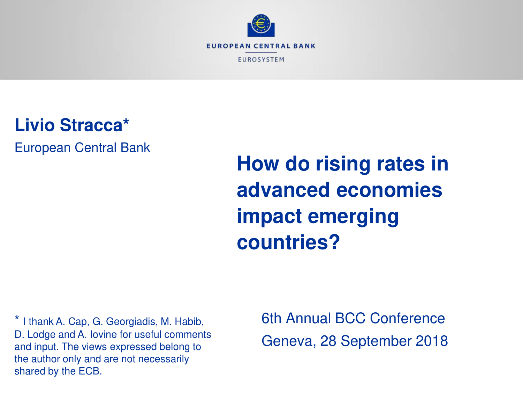

**Livio Stracca\*** 

European Central Bank

**How do rising rates in advanced economies impact emerging countries?** 

\* I thank A. Cap, G. Georgiadis, M. Habib, D. Lodge and A. Iovine for useful comments and input. The views expressed belong to the author only and are not necessarily shared by the ECB.

6th Annual BCC Conference Geneva, 28 September 2018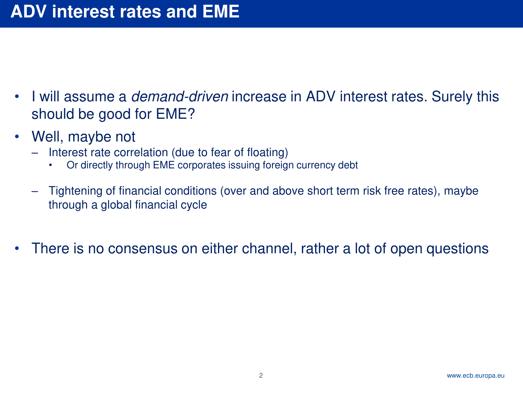- I will assume a *demand-driven* increase in ADV interest rates. Surely this should be good for EME?
- Well, maybe not
	- Interest rate correlation (due to fear of floating)
		- Or directly through EME corporates issuing foreign currency debt
	- Tightening of financial conditions (over and above short term risk free rates), maybe through a global financial cycle
- There is no consensus on either channel, rather a lot of open questions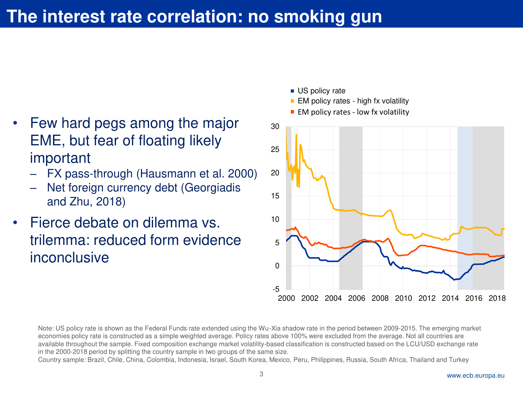## The interest rate correlation: no smoking gun

- Few hard pegs among the major EME, but fear of floating likely important
	- FX pass-through (Hausmann et al. 2000)
	- Net foreign currency debt (Georgiadis and Zhu, 2018)
- Fierce debate on dilemma vs. trilemma: reduced form evidence **inconclusive**
- -5 0 5 10 15 20 25 30 2000 2002 2004 2006 2008 2010 2012 2014 2016 2018 **US** policy rate  $\blacksquare$  EM policy rates - high fx volatility  $\blacksquare$  EM policy rates - low fx volatility

Note: US policy rate is shown as the Federal Funds rate extended using the Wu-Xia shadow rate in the period between 2009-2015. The emerging market economies policy rate is constructed as a simple weighted average. Policy rates above 100% were excluded from the average. Not all countries are available throughout the sample. Fixed composition exchange market volatility-based classification is constructed based on the LCU/USD exchange rate in the 2000-2018 period by splitting the country sample in two groups of the same size.

Country sample: Brazil, Chile, China, Colombia, Indonesia, Israel, South Korea, Mexico, Peru, Philippines, Russia, South Africa, Thailand and Turkey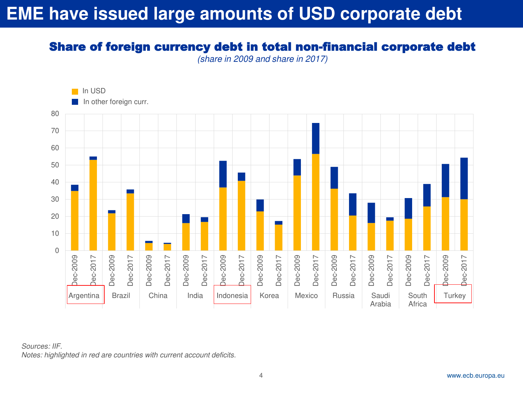## **EME have issued large amounts of USD corporate debt**

#### Share of foreign currency debt in total non-financial corporate debt

*(share in 2009 and share in 2017)* 



*Sources: IIF.* 

*Notes: highlighted in red are countries with current account deficits.*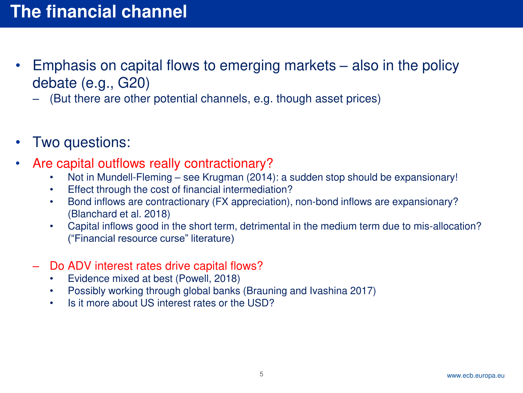- Emphasis on capital flows to emerging markets also in the policy debate (e.g., G20)
	- (But there are other potential channels, e.g. though asset prices)
- Two questions:
- Are capital outflows really contractionary?
	- Not in Mundell-Fleming see Krugman (2014): a sudden stop should be expansionary!
	- Effect through the cost of financial intermediation?
	- Bond inflows are contractionary (FX appreciation), non-bond inflows are expansionary? (Blanchard et al. 2018)
	- Capital inflows good in the short term, detrimental in the medium term due to mis-allocation? ("Financial resource curse" literature)
	- Do ADV interest rates drive capital flows?
		- Evidence mixed at best (Powell, 2018)
		- Possibly working through global banks (Brauning and Ivashina 2017)
		- Is it more about US interest rates or the USD?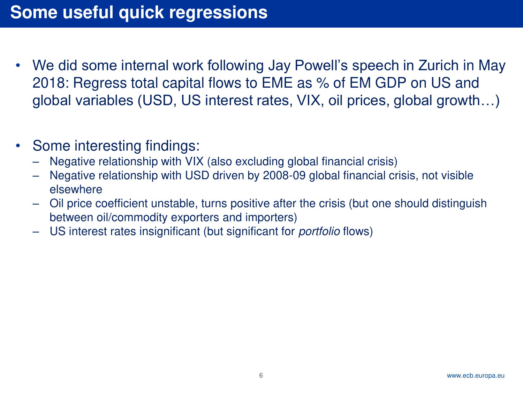- We did some internal work following Jay Powell's speech in Zurich in May 2018: Regress total capital flows to EME as % of EM GDP on US and global variables (USD, US interest rates, VIX, oil prices, global growth…)
- Some interesting findings:
	- Negative relationship with VIX (also excluding global financial crisis)
	- Negative relationship with USD driven by 2008-09 global financial crisis, not visible elsewhere
	- Oil price coefficient unstable, turns positive after the crisis (but one should distinguish between oil/commodity exporters and importers)
	- US interest rates insignificant (but significant for *portfolio* flows)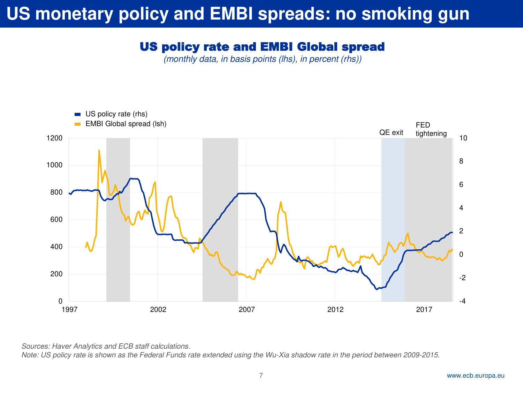# US monetary policy and EMBI spreads: no smoking gun

#### US policy rate and EMBI Global spread

*(monthly data, in basis points (lhs), in percent (rhs))*



*Sources: Haver Analytics and ECB staff calculations.* 

*Note: US policy rate is shown as the Federal Funds rate extended using the Wu-Xia shadow rate in the period between 2009-2015.*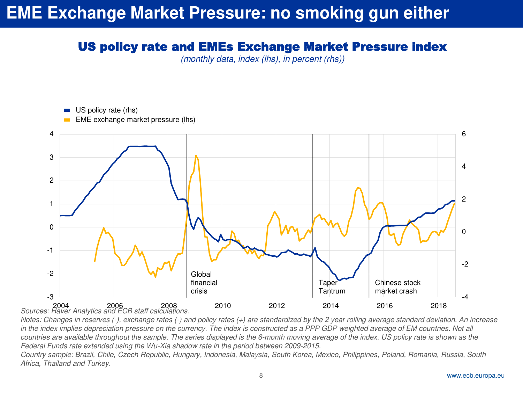### **EME Exchange Market Pressure: no smoking gun either**

#### US policy rate and EMEs Exchange Market Pressure index

*(monthly data, index (lhs), in percent (rhs))*



*Notes: Changes in reserves (-), exchange rates (-) and policy rates (+) are standardized by the 2 year rolling average standard deviation. An increase*  in the index implies depreciation pressure on the currency. The index is constructed as a PPP GDP weighted average of EM countries. Not all countries are available throughout the sample. The series displayed is the 6-month moving average of the index. US policy rate is shown as the *Federal Funds rate extended using the Wu-Xia shadow rate in the period between 2009-2015.*

*Country sample: Brazil, Chile, Czech Republic, Hungary, Indonesia, Malaysia, South Korea, Mexico, Philippines, Poland, Romania, Russia, South Africa, Thailand and Turkey.*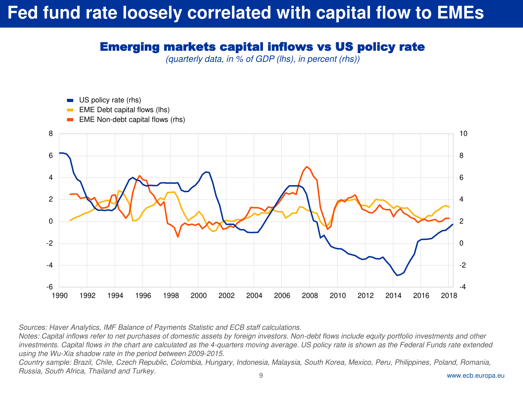## **Fed fund rate loosely correlated with capital flow to EMEs**

#### Emerging markets capital inflows vs US policy rate

*(quarterly data, in % of GDP (lhs), in percent (rhs))*



*Sources: Haver Analytics, IMF Balance of Payments Statistic and ECB staff calculations.* 

*Notes: Capital inflows refer to net purchases of domestic assets by foreign investors. Non-debt flows include equity portfolio investments and other investments. Capital flows in the chart are calculated as the 4-quarters moving average. US policy rate is shown as the Federal Funds rate extended using the Wu-Xia shadow rate in the period between 2009-2015.* 

9 www.ecb.europa.eu *Country sample: Brazil, Chile, Czech Republic, Colombia, Hungary, Indonesia, Malaysia, South Korea, Mexico, Peru, Philippines, Poland, Romania, Russia, South Africa, Thailand and Turkey.*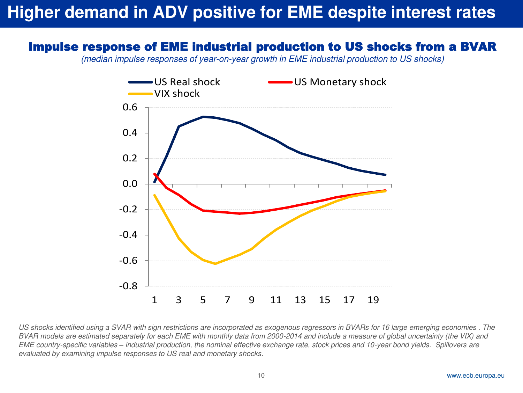### **Higher demand in ADV positive for EME despite interest rates**

#### Impulse response of EME industrial production to US shocks from a BVAR

*(median impulse responses of year-on-year growth in EME industrial production to US shocks)* 



*US shocks identified using a SVAR with sign restrictions are incorporated as exogenous regressors in BVARs for 16 large emerging economies . The BVAR models are estimated separately for each EME with monthly data from 2000-2014 and include a measure of global uncertainty (the VIX) and EME country-specific variables – industrial production, the nominal effective exchange rate, stock prices and 10-year bond yields. Spillovers are evaluated by examining impulse responses to US real and monetary shocks.*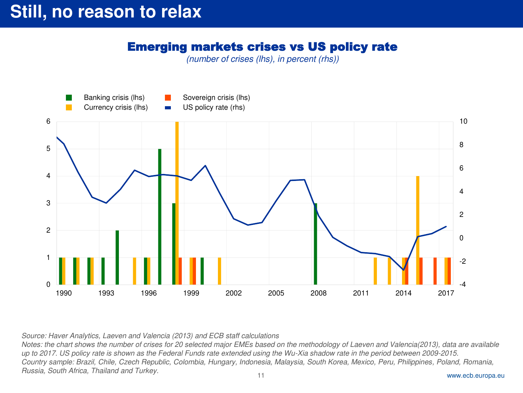#### Emerging markets crises vs US policy rate

*(number of crises (lhs), in percent (rhs))*



*Source: Haver Analytics, Laeven and Valencia (2013) and ECB staff calculations* 

*Notes: the chart shows the number of crises for 20 selected major EMEs based on the methodology of Laeven and Valencia(2013), data are available up to 2017. US policy rate is shown as the Federal Funds rate extended using the Wu-Xia shadow rate in the period between 2009-2015. Country sample: Brazil, Chile, Czech Republic, Colombia, Hungary, Indonesia, Malaysia, South Korea, Mexico, Peru, Philippines, Poland, Romania, Russia, South Africa, Thailand and Turkey.*